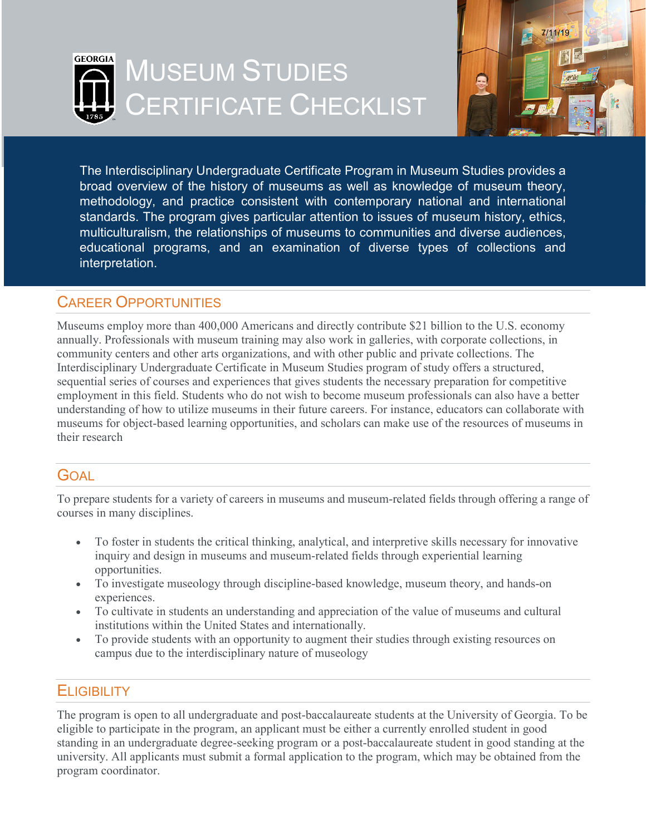



The Interdisciplinary Undergraduate Certificate Program in Museum Studies provides a broad overview of the history of museums as well as knowledge of museum theory, methodology, and practice consistent with contemporary national and international standards. The program gives particular attention to issues of museum history, ethics, multiculturalism, the relationships of museums to communities and diverse audiences, educational programs, and an examination of diverse types of collections and interpretation.

# CAREER OPPORTUNITIES

Museums employ more than 400,000 Americans and directly contribute \$21 billion to the U.S. economy annually. Professionals with museum training may also work in galleries, with corporate collections, in community centers and other arts organizations, and with other public and private collections. The Interdisciplinary Undergraduate Certificate in Museum Studies program of study offers a structured, sequential series of courses and experiences that gives students the necessary preparation for competitive employment in this field. Students who do not wish to become museum professionals can also have a better understanding of how to utilize museums in their future careers. For instance, educators can collaborate with museums for object-based learning opportunities, and scholars can make use of the resources of museums in their research

## GOAL

To prepare students for a variety of careers in museums and museum-related fields through offering a range of courses in many disciplines.

- To foster in students the critical thinking, analytical, and interpretive skills necessary for innovative inquiry and design in museums and museum-related fields through experiential learning opportunities.
- To investigate museology through discipline-based knowledge, museum theory, and hands-on experiences.
- To cultivate in students an understanding and appreciation of the value of museums and cultural institutions within the United States and internationally.
- To provide students with an opportunity to augment their studies through existing resources on campus due to the interdisciplinary nature of museology

# **ELIGIBILITY**

The program is open to all undergraduate and post-baccalaureate students at the University of Georgia. To be eligible to participate in the program, an applicant must be either a currently enrolled student in good standing in an undergraduate degree-seeking program or a post-baccalaureate student in good standing at the university. All applicants must submit a formal application to the program, which may be obtained from the program coordinator.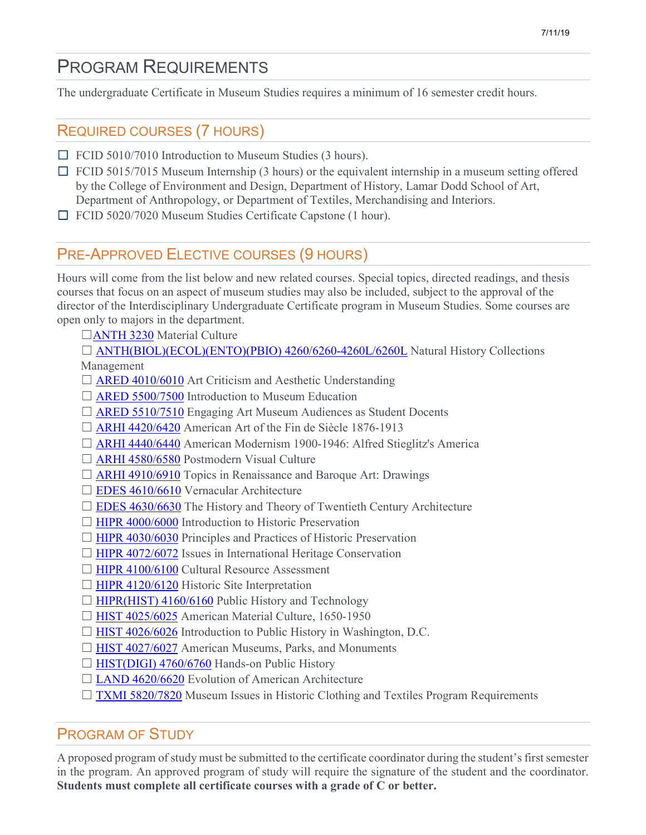# PROGRAM REQUIREMENTS

The undergraduate Certificate in Museum Studies requires a minimum of 16 semester credit hours.

# REQUIRED COURSES (7 HOURS)

- ☐ FCID 5010/7010 Introduction to Museum Studies (3 hours).
- $\Box$  FCID 5015/7015 Museum Internship (3 hours) or the equivalent internship in a museum setting offered by the College of Environment and Design, Department of History, Lamar Dodd School of Art, Department of Anthropology, or Department of Textiles, Merchandising and Interiors.
- ☐ FCID 5020/7020 Museum Studies Certificate Capstone (1 hour).

# PRE-APPROVED ELECTIVE COURSES (9 HOURS)

Hours will come from the list below and new related courses. Special topics, directed readings, and thesis courses that focus on an aspect of museum studies may also be included, subject to the approval of the director of the Interdisciplinary Undergraduate Certificate program in Museum Studies. Some courses are open only to majors in the department.

- □[ANTH 3230](http://bulletin.uga.edu/CoursesHome.aspx?cid=10018) Material Culture
- □ [ANTH\(BIOL\)\(ECOL\)\(ENTO\)\(PBIO\) 4260/6260-4260L/6260L](http://bulletin.uga.edu/CoursesHome.aspx?cid=10036) Natural History Collections Management
- $\Box$  [ARED 4010/6010](http://bulletin.uga.edu/CoursesHome.aspx?cid=6464) Art Criticism and Aesthetic Understanding
- □ [ARED 5500/7500](http://bulletin.uga.edu/CoursesHome.aspx?cid=6489) Introduction to Museum Education
- □ [ARED 5510/7510](http://bulletin.uga.edu/CoursesHome.aspx?cid=30014) Engaging Art Museum Audiences as Student Docents
- □ [ARHI 4420/6420](http://bulletin.uga.edu/CoursesHome.aspx?cid=6356) American Art of the Fin de Siècle 1876-1913
- □ [ARHI 4440/6440](http://bulletin.uga.edu/CoursesHome.aspx?cid=6357) American Modernism 1900-1946: Alfred Stieglitz's America
- □ [ARHI 4580/6580](http://bulletin.uga.edu/CoursesHome.aspx?cid=19326) Postmodern Visual Culture
- □ [ARHI 4910/6910](http://bulletin.uga.edu/CoursesHome.aspx?cid=6374) Topics in Renaissance and Baroque Art: Drawings
- □ [EDES 4610/6610](http://bulletin.uga.edu/CoursesHome.aspx?cid=3481) Vernacular Architecture
- $\Box$  [EDES 4630/6630](http://bulletin.uga.edu/CoursesHome.aspx?cid=5887) The History and Theory of Twentieth Century Architecture
- □ [HIPR 4000/6000](http://bulletin.uga.edu/CoursesHome.aspx?cid=6711) Introduction to Historic Preservation
- $\Box$  [HIPR 4030/6030](http://bulletin.uga.edu/CoursesHome.aspx?cid=26061) Principles and Practices of Historic Preservation
- $\Box$  [HIPR 4072/6072](http://bulletin.uga.edu/CoursesHome.aspx?cid=16110) Issues in International Heritage Conservation
- □ [HIPR 4100/6100](http://bulletin.uga.edu/CoursesHome.aspx?cid=6714) Cultural Resource Assessment
- $\Box$  [HIPR 4120/6120](http://bulletin.uga.edu/CoursesHome.aspx?cid=22949) Historic Site Interpretation
- □ [HIPR\(HIST\) 4160/6160](http://bulletin.uga.edu/CoursesHome.aspx?cid=31450) Public History and Technology
- ☐ [HIST 4025/6025](http://bulletin.uga.edu/CoursesHome.aspx?cid=24824) American Material Culture, 1650-1950
- $\Box$  [HIST 4026/6026](http://bulletin.uga.edu/CoursesHome.aspx?cid=34190) Introduction to Public History in Washington, D.C.
- □ [HIST 4027/6027](http://bulletin.uga.edu/CoursesHome.aspx?cid=31578) American Museums, Parks, and Monuments
- □ [HIST\(DIGI\) 4760/6760](http://bulletin.uga.edu/CoursesHome.aspx?cid=35069) Hands-on Public History
- □ [LAND 4620/6620](http://bulletin.uga.edu/CoursesHome.aspx?cid=3480) Evolution of American Architecture
- □ [TXMI 5820/7820](http://bulletin.uga.edu/CoursesHome.aspx?cid=23742) Museum Issues in Historic Clothing and Textiles Program Requirements

## PROGRAM OF STUDY

A proposed program of study must be submitted to the certificate coordinator during the student's first semester in the program. An approved program of study will require the signature of the student and the coordinator. **Students must complete all certificate courses with a grade of C or better.**